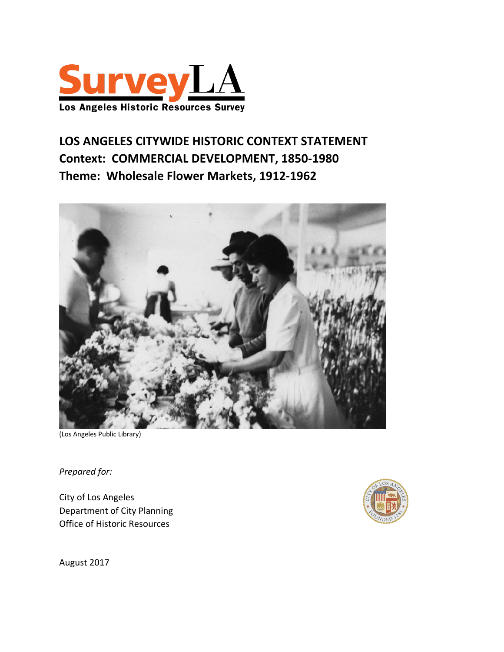

# **LOS ANGELES CITYWIDE HISTORIC CONTEXT STATEMENT Context: COMMERCIAL DEVELOPMENT, 1850-1980 Theme: Wholesale Flower Markets, 1912-1962**



(Los Angeles Public Library)

*Prepared for:*

City of Los Angeles Department of City Planning Office of Historic Resources



August 2017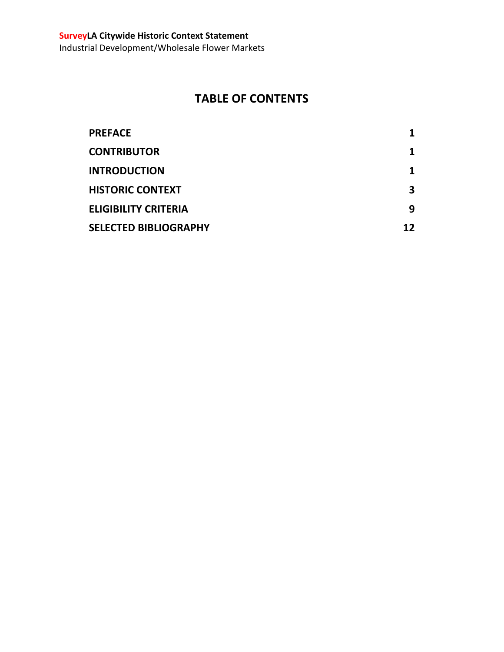# **TABLE OF CONTENTS**

| <b>PREFACE</b>               |    |
|------------------------------|----|
| <b>CONTRIBUTOR</b>           |    |
| <b>INTRODUCTION</b>          |    |
| <b>HISTORIC CONTEXT</b>      |    |
| <b>ELIGIBILITY CRITERIA</b>  | q  |
| <b>SELECTED BIBLIOGRAPHY</b> | 12 |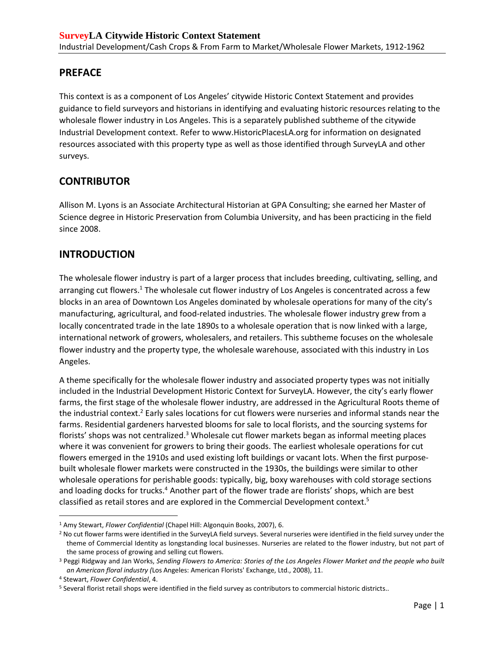## <span id="page-2-0"></span>**PREFACE**

This context is as a component of Los Angeles' citywide Historic Context Statement and provides guidance to field surveyors and historians in identifying and evaluating historic resources relating to the wholesale flower industry in Los Angeles. This is a separately published subtheme of the citywide Industrial Development context. Refer to www.HistoricPlacesLA.org for information on designated resources associated with this property type as well as those identified through SurveyLA and other surveys.

## <span id="page-2-1"></span>**CONTRIBUTOR**

Allison M. Lyons is an Associate Architectural Historian at GPA Consulting; she earned her Master of Science degree in Historic Preservation from Columbia University, and has been practicing in the field since 2008.

## <span id="page-2-2"></span>**INTRODUCTION**

The wholesale flower industry is part of a larger process that includes breeding, cultivating, selling, and arranging cut flowers.<sup>1</sup> The wholesale cut flower industry of Los Angeles is concentrated across a few blocks in an area of Downtown Los Angeles dominated by wholesale operations for many of the city's manufacturing, agricultural, and food-related industries. The wholesale flower industry grew from a locally concentrated trade in the late 1890s to a wholesale operation that is now linked with a large, international network of growers, wholesalers, and retailers. This subtheme focuses on the wholesale flower industry and the property type, the wholesale warehouse, associated with this industry in Los Angeles.

A theme specifically for the wholesale flower industry and associated property types was not initially included in the Industrial Development Historic Context for SurveyLA. However, the city's early flower farms, the first stage of the wholesale flower industry, are addressed in the Agricultural Roots theme of the industrial context.<sup>2</sup> Early sales locations for cut flowers were nurseries and informal stands near the farms. Residential gardeners harvested blooms for sale to local florists, and the sourcing systems for florists' shops was not centralized.<sup>3</sup> Wholesale cut flower markets began as informal meeting places where it was convenient for growers to bring their goods. The earliest wholesale operations for cut flowers emerged in the 1910s and used existing loft buildings or vacant lots. When the first purposebuilt wholesale flower markets were constructed in the 1930s, the buildings were similar to other wholesale operations for perishable goods: typically, big, boxy warehouses with cold storage sections and loading docks for trucks.<sup>4</sup> Another part of the flower trade are florists' shops, which are best classified as retail stores and are explored in the Commercial Development context.<sup>5</sup>

<sup>1</sup> Amy Stewart, *Flower Confidential* (Chapel Hill: Algonquin Books, 2007), 6.

<sup>&</sup>lt;sup>2</sup> No cut flower farms were identified in the SurveyLA field surveys. Several nurseries were identified in the field survey under the theme of Commercial Identity as longstanding local businesses. Nurseries are related to the flower industry, but not part of the same process of growing and selling cut flowers.

<sup>3</sup> Peggi Ridgway and Jan Works, *Sending Flowers to America: Stories of the Los Angeles Flower Market and the people who built an American floral industry (*Los Angeles: American Florists' Exchange, Ltd., 2008), 11.

<sup>4</sup> Stewart, *Flower Confidential*, 4.

<sup>5</sup> Several florist retail shops were identified in the field survey as contributors to commercial historic districts..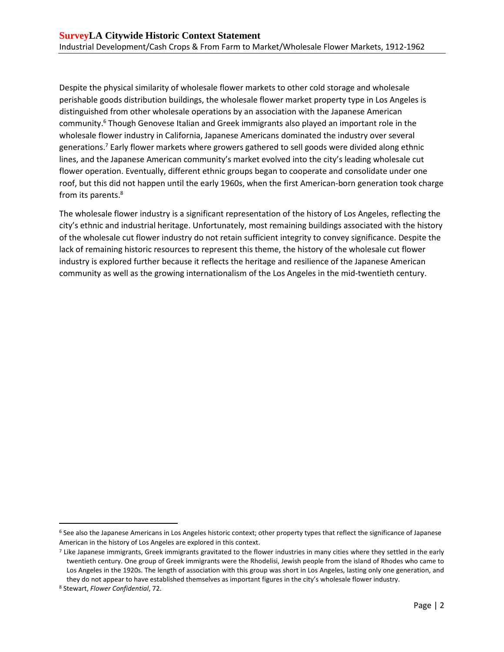Despite the physical similarity of wholesale flower markets to other cold storage and wholesale perishable goods distribution buildings, the wholesale flower market property type in Los Angeles is distinguished from other wholesale operations by an association with the Japanese American community. <sup>6</sup> Though Genovese Italian and Greek immigrants also played an important role in the wholesale flower industry in California, Japanese Americans dominated the industry over several generations. <sup>7</sup> Early flower markets where growers gathered to sell goods were divided along ethnic lines, and the Japanese American community's market evolved into the city's leading wholesale cut flower operation. Eventually, different ethnic groups began to cooperate and consolidate under one roof, but this did not happen until the early 1960s, when the first American-born generation took charge from its parents. 8

The wholesale flower industry is a significant representation of the history of Los Angeles, reflecting the city's ethnic and industrial heritage. Unfortunately, most remaining buildings associated with the history of the wholesale cut flower industry do not retain sufficient integrity to convey significance. Despite the lack of remaining historic resources to represent this theme, the history of the wholesale cut flower industry is explored further because it reflects the heritage and resilience of the Japanese American community as well as the growing internationalism of the Los Angeles in the mid-twentieth century.

<sup>6</sup> See also the Japanese Americans in Los Angeles historic context; other property types that reflect the significance of Japanese American in the history of Los Angeles are explored in this context.

<sup>7</sup> Like Japanese immigrants, Greek immigrants gravitated to the flower industries in many cities where they settled in the early twentieth century. One group of Greek immigrants were the Rhodelisi, Jewish people from the island of Rhodes who came to Los Angeles in the 1920s. The length of association with this group was short in Los Angeles, lasting only one generation, and they do not appear to have established themselves as important figures in the city's wholesale flower industry.

<sup>8</sup> Stewart, *Flower Confidential*, 72.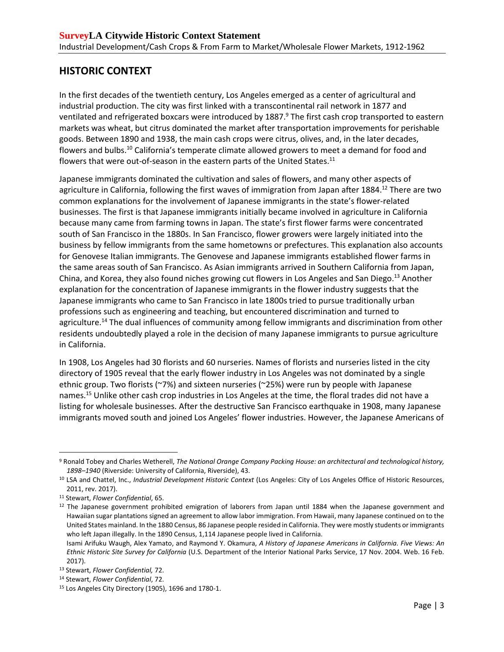## <span id="page-4-0"></span>**HISTORIC CONTEXT**

In the first decades of the twentieth century, Los Angeles emerged as a center of agricultural and industrial production. The city was first linked with a transcontinental rail network in 1877 and ventilated and refrigerated boxcars were introduced by 1887.<sup>9</sup> The first cash crop transported to eastern markets was wheat, but citrus dominated the market after transportation improvements for perishable goods. Between 1890 and 1938, the main cash crops were citrus, olives, and, in the later decades, flowers and bulbs.<sup>10</sup> California's temperate climate allowed growers to meet a demand for food and flowers that were out-of-season in the eastern parts of the United States.<sup>11</sup>

Japanese immigrants dominated the cultivation and sales of flowers, and many other aspects of agriculture in California, following the first waves of immigration from Japan after 1884. <sup>12</sup> There are two common explanations for the involvement of Japanese immigrants in the state's flower-related businesses. The first is that Japanese immigrants initially became involved in agriculture in California because many came from farming towns in Japan. The state's first flower farms were concentrated south of San Francisco in the 1880s. In San Francisco, flower growers were largely initiated into the business by fellow immigrants from the same hometowns or prefectures. This explanation also accounts for Genovese Italian immigrants. The Genovese and Japanese immigrants established flower farms in the same areas south of San Francisco. As Asian immigrants arrived in Southern California from Japan, China, and Korea, they also found niches growing cut flowers in Los Angeles and San Diego.<sup>13</sup> Another explanation for the concentration of Japanese immigrants in the flower industry suggests that the Japanese immigrants who came to San Francisco in late 1800s tried to pursue traditionally urban professions such as engineering and teaching, but encountered discrimination and turned to agriculture.<sup>14</sup> The dual influences of community among fellow immigrants and discrimination from other residents undoubtedly played a role in the decision of many Japanese immigrants to pursue agriculture in California.

In 1908, Los Angeles had 30 florists and 60 nurseries. Names of florists and nurseries listed in the city directory of 1905 reveal that the early flower industry in Los Angeles was not dominated by a single ethnic group. Two florists (~7%) and sixteen nurseries (~25%) were run by people with Japanese names.<sup>15</sup> Unlike other cash crop industries in Los Angeles at the time, the floral trades did not have a listing for wholesale businesses. After the destructive San Francisco earthquake in 1908, many Japanese immigrants moved south and joined Los Angeles' flower industries. However, the Japanese Americans of

<sup>9</sup> Ronald Tobey and Charles Wetherell, *The National Orange Company Packing House: an architectural and technological history, 1898–1940* (Riverside: University of California, Riverside), 43.

<sup>&</sup>lt;sup>10</sup> LSA and Chattel, Inc., *Industrial Development Historic Context* (Los Angeles: City of Los Angeles Office of Historic Resources, 2011, rev. 2017).

<sup>11</sup> Stewart, *Flower Confidential*, 65.

<sup>&</sup>lt;sup>12</sup> The Japanese government prohibited emigration of laborers from Japan until 1884 when the Japanese government and Hawaiian sugar plantations signed an agreement to allow labor immigration. From Hawaii, many Japanese continued on to the United States mainland. In the 1880 Census, 86 Japanese people resided in California. They were mostly students or immigrants who left Japan illegally. In the 1890 Census, 1,114 Japanese people lived in California.

Isami Arifuku Waugh, Alex Yamato, and Raymond Y. Okamura, *A History of Japanese Americans in California. Five Views: An Ethnic Historic Site Survey for California* (U.S. Department of the Interior National Parks Service, 17 Nov. 2004. Web. 16 Feb. 2017).

<sup>13</sup> Stewart, *Flower Confidential,* 72.

<sup>14</sup> Stewart, *Flower Confidential*, 72.

<sup>15</sup> Los Angeles City Directory (1905), 1696 and 1780-1.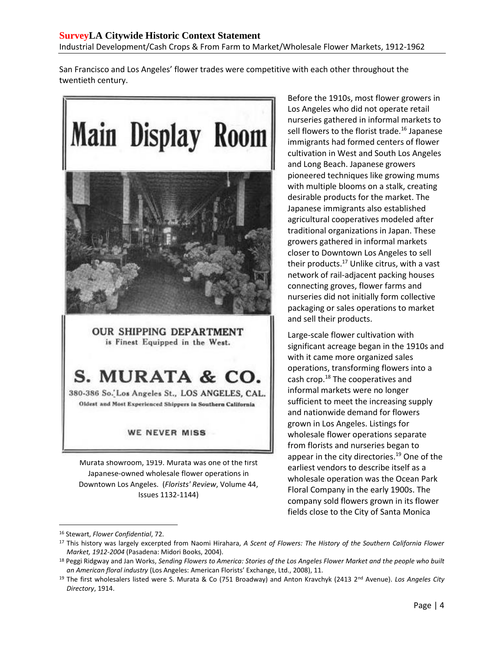San Francisco and Los Angeles' flower trades were competitive with each other throughout the twentieth century.



OUR SHIPPING DEPARTMENT is Finest Equipped in the West.

S. MURATA & CO.

380-386 So. Los Angeles St., LOS ANGELES, CAL. Oldest and Most Experienced Shippers in Southern California

#### WE NEVER MISS

Murata showroom, 1919. Murata was one of the first Japanese-owned wholesale flower operations in Downtown Los Angeles. (*Florists' Review*, Volume 44, Issues 1132-1144)

Before the 1910s, most flower growers in Los Angeles who did not operate retail nurseries gathered in informal markets to sell flowers to the florist trade.<sup>16</sup> Japanese immigrants had formed centers of flower cultivation in West and South Los Angeles and Long Beach. Japanese growers pioneered techniques like growing mums with multiple blooms on a stalk, creating desirable products for the market. The Japanese immigrants also established agricultural cooperatives modeled after traditional organizations in Japan. These growers gathered in informal markets closer to Downtown Los Angeles to sell their products.<sup>17</sup> Unlike citrus, with a vast network of rail-adjacent packing houses connecting groves, flower farms and nurseries did not initially form collective packaging or sales operations to market and sell their products.

Large-scale flower cultivation with significant acreage began in the 1910s and with it came more organized sales operations, transforming flowers into a cash crop. <sup>18</sup> The cooperatives and informal markets were no longer sufficient to meet the increasing supply and nationwide demand for flowers grown in Los Angeles. Listings for wholesale flower operations separate from florists and nurseries began to appear in the city directories.<sup>19</sup> One of the earliest vendors to describe itself as a wholesale operation was the Ocean Park Floral Company in the early 1900s. The company sold flowers grown in its flower fields close to the City of Santa Monica

<sup>16</sup> Stewart, *Flower Confidential*, 72.

<sup>17</sup> This history was largely excerpted from Naomi Hirahara, *A Scent of Flowers: The History of the Southern California Flower Market, 1912-2004* (Pasadena: Midori Books, 2004).

<sup>18</sup> Peggi Ridgway and Jan Works, *Sending Flowers to America: Stories of the Los Angeles Flower Market and the people who built an American floral industry* (Los Angeles: American Florists' Exchange, Ltd., 2008), 11.

<sup>19</sup> The first wholesalers listed were S. Murata & Co (751 Broadway) and Anton Kravchyk (2413 2<sup>nd</sup> Avenue). Los Angeles City *Directory*, 1914.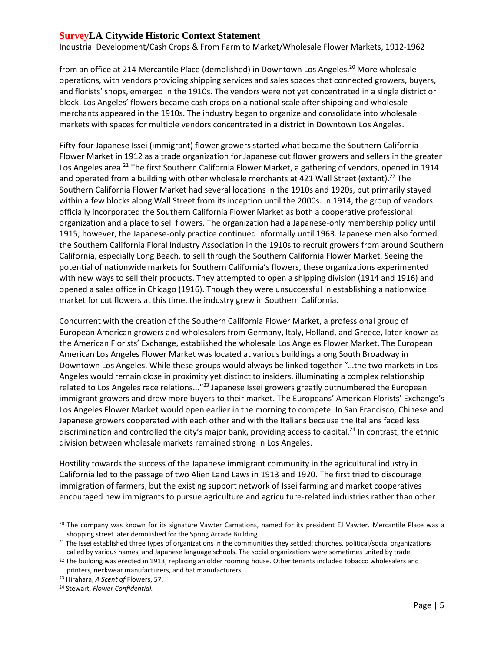from an office at 214 Mercantile Place (demolished) in Downtown Los Angeles.<sup>20</sup> More wholesale operations, with vendors providing shipping services and sales spaces that connected growers, buyers, and florists' shops, emerged in the 1910s. The vendors were not yet concentrated in a single district or block. Los Angeles' flowers became cash crops on a national scale after shipping and wholesale merchants appeared in the 1910s. The industry began to organize and consolidate into wholesale markets with spaces for multiple vendors concentrated in a district in Downtown Los Angeles.

Fifty-four Japanese Issei (immigrant) flower growers started what became the Southern California Flower Market in 1912 as a trade organization for Japanese cut flower growers and sellers in the greater Los Angeles area.<sup>21</sup> The first Southern California Flower Market, a gathering of vendors, opened in 1914 and operated from a building with other wholesale merchants at 421 Wall Street (extant). <sup>22</sup> The Southern California Flower Market had several locations in the 1910s and 1920s, but primarily stayed within a few blocks along Wall Street from its inception until the 2000s. In 1914, the group of vendors officially incorporated the Southern California Flower Market as both a cooperative professional organization and a place to sell flowers. The organization had a Japanese-only membership policy until 1915; however, the Japanese-only practice continued informally until 1963. Japanese men also formed the Southern California Floral Industry Association in the 1910s to recruit growers from around Southern California, especially Long Beach, to sell through the Southern California Flower Market. Seeing the potential of nationwide markets for Southern California's flowers, these organizations experimented with new ways to sell their products. They attempted to open a shipping division (1914 and 1916) and opened a sales office in Chicago (1916). Though they were unsuccessful in establishing a nationwide market for cut flowers at this time, the industry grew in Southern California.

Concurrent with the creation of the Southern California Flower Market, a professional group of European American growers and wholesalers from Germany, Italy, Holland, and Greece, later known as the American Florists' Exchange, established the wholesale Los Angeles Flower Market. The European American Los Angeles Flower Market was located at various buildings along South Broadway in Downtown Los Angeles. While these groups would always be linked together "…the two markets in Los Angeles would remain close in proximity yet distinct to insiders, illuminating a complex relationship related to Los Angeles race relations..."<sup>23</sup> Japanese Issei growers greatly outnumbered the European immigrant growers and drew more buyers to their market. The Europeans' American Florists' Exchange's Los Angeles Flower Market would open earlier in the morning to compete. In San Francisco, Chinese and Japanese growers cooperated with each other and with the Italians because the Italians faced less discrimination and controlled the city's major bank, providing access to capital.<sup>24</sup> In contrast, the ethnic division between wholesale markets remained strong in Los Angeles.

Hostility towards the success of the Japanese immigrant community in the agricultural industry in California led to the passage of two Alien Land Laws in 1913 and 1920. The first tried to discourage immigration of farmers, but the existing support network of Issei farming and market cooperatives encouraged new immigrants to pursue agriculture and agriculture-related industries rather than other

<sup>&</sup>lt;sup>20</sup> The company was known for its signature Vawter Carnations, named for its president EJ Vawter. Mercantile Place was a shopping street later demolished for the Spring Arcade Building.

<sup>&</sup>lt;sup>21</sup> The Issei established three types of organizations in the communities they settled: churches, political/social organizations called by various names, and Japanese language schools. The social organizations were sometimes united by trade.

 $22$  The building was erected in 1913, replacing an older rooming house. Other tenants included tobacco wholesalers and printers, neckwear manufacturers, and hat manufacturers.

<sup>23</sup> Hirahara, *A Scent of* Flowers, 57.

<sup>24</sup> Stewart, *Flower Confidential.*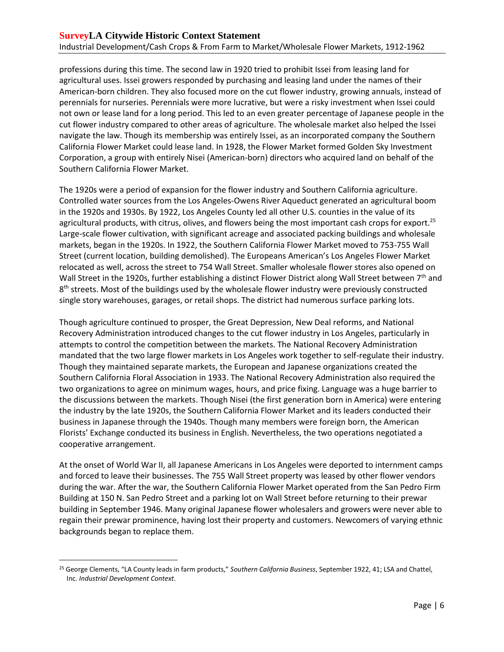professions during this time. The second law in 1920 tried to prohibit Issei from leasing land for agricultural uses. Issei growers responded by purchasing and leasing land under the names of their American-born children. They also focused more on the cut flower industry, growing annuals, instead of perennials for nurseries. Perennials were more lucrative, but were a risky investment when Issei could not own or lease land for a long period. This led to an even greater percentage of Japanese people in the cut flower industry compared to other areas of agriculture. The wholesale market also helped the Issei navigate the law. Though its membership was entirely Issei, as an incorporated company the Southern California Flower Market could lease land. In 1928, the Flower Market formed Golden Sky Investment Corporation, a group with entirely Nisei (American-born) directors who acquired land on behalf of the Southern California Flower Market.

The 1920s were a period of expansion for the flower industry and Southern California agriculture. Controlled water sources from the Los Angeles-Owens River Aqueduct generated an agricultural boom in the 1920s and 1930s. By 1922, Los Angeles County led all other U.S. counties in the value of its agricultural products, with citrus, olives, and flowers being the most important cash crops for export.<sup>25</sup> Large-scale flower cultivation, with significant acreage and associated packing buildings and wholesale markets, began in the 1920s. In 1922, the Southern California Flower Market moved to 753-755 Wall Street (current location, building demolished). The Europeans American's Los Angeles Flower Market relocated as well, across the street to 754 Wall Street. Smaller wholesale flower stores also opened on Wall Street in the 1920s, further establishing a distinct Flower District along Wall Street between 7<sup>th</sup> and 8<sup>th</sup> streets. Most of the buildings used by the wholesale flower industry were previously constructed single story warehouses, garages, or retail shops. The district had numerous surface parking lots.

Though agriculture continued to prosper, the Great Depression, New Deal reforms, and National Recovery Administration introduced changes to the cut flower industry in Los Angeles, particularly in attempts to control the competition between the markets. The National Recovery Administration mandated that the two large flower markets in Los Angeles work together to self-regulate their industry. Though they maintained separate markets, the European and Japanese organizations created the Southern California Floral Association in 1933. The National Recovery Administration also required the two organizations to agree on minimum wages, hours, and price fixing. Language was a huge barrier to the discussions between the markets. Though Nisei (the first generation born in America) were entering the industry by the late 1920s, the Southern California Flower Market and its leaders conducted their business in Japanese through the 1940s. Though many members were foreign born, the American Florists' Exchange conducted its business in English. Nevertheless, the two operations negotiated a cooperative arrangement.

At the onset of World War II, all Japanese Americans in Los Angeles were deported to internment camps and forced to leave their businesses. The 755 Wall Street property was leased by other flower vendors during the war. After the war, the Southern California Flower Market operated from the San Pedro Firm Building at 150 N. San Pedro Street and a parking lot on Wall Street before returning to their prewar building in September 1946. Many original Japanese flower wholesalers and growers were never able to regain their prewar prominence, having lost their property and customers. Newcomers of varying ethnic backgrounds began to replace them.

<sup>25</sup> George Clements, "LA County leads in farm products," *Southern California Business*, September 1922, 41; LSA and Chattel, Inc. *Industrial Development Context*.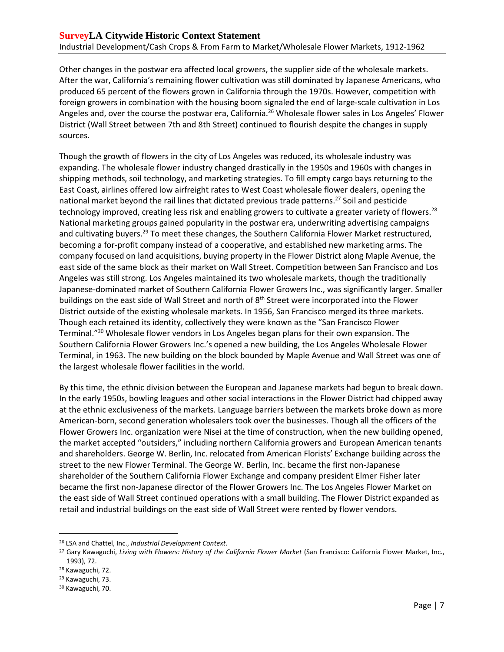Other changes in the postwar era affected local growers, the supplier side of the wholesale markets. After the war, California's remaining flower cultivation was still dominated by Japanese Americans, who produced 65 percent of the flowers grown in California through the 1970s. However, competition with foreign growers in combination with the housing boom signaled the end of large-scale cultivation in Los Angeles and, over the course the postwar era, California.<sup>26</sup> Wholesale flower sales in Los Angeles' Flower District (Wall Street between 7th and 8th Street) continued to flourish despite the changes in supply sources.

Though the growth of flowers in the city of Los Angeles was reduced, its wholesale industry was expanding. The wholesale flower industry changed drastically in the 1950s and 1960s with changes in shipping methods, soil technology, and marketing strategies. To fill empty cargo bays returning to the East Coast, airlines offered low airfreight rates to West Coast wholesale flower dealers, opening the national market beyond the rail lines that dictated previous trade patterns.<sup>27</sup> Soil and pesticide technology improved, creating less risk and enabling growers to cultivate a greater variety of flowers.<sup>28</sup> National marketing groups gained popularity in the postwar era, underwriting advertising campaigns and cultivating buyers.<sup>29</sup> To meet these changes, the Southern California Flower Market restructured, becoming a for-profit company instead of a cooperative, and established new marketing arms. The company focused on land acquisitions, buying property in the Flower District along Maple Avenue, the east side of the same block as their market on Wall Street. Competition between San Francisco and Los Angeles was still strong. Los Angeles maintained its two wholesale markets, though the traditionally Japanese-dominated market of Southern California Flower Growers Inc., was significantly larger. Smaller buildings on the east side of Wall Street and north of 8<sup>th</sup> Street were incorporated into the Flower District outside of the existing wholesale markets. In 1956, San Francisco merged its three markets. Though each retained its identity, collectively they were known as the "San Francisco Flower Terminal."<sup>30</sup> Wholesale flower vendors in Los Angeles began plans for their own expansion. The Southern California Flower Growers Inc.'s opened a new building, the Los Angeles Wholesale Flower Terminal, in 1963. The new building on the block bounded by Maple Avenue and Wall Street was one of the largest wholesale flower facilities in the world.

By this time, the ethnic division between the European and Japanese markets had begun to break down. In the early 1950s, bowling leagues and other social interactions in the Flower District had chipped away at the ethnic exclusiveness of the markets. Language barriers between the markets broke down as more American-born, second generation wholesalers took over the businesses. Though all the officers of the Flower Growers Inc. organization were Nisei at the time of construction, when the new building opened, the market accepted "outsiders," including northern California growers and European American tenants and shareholders. George W. Berlin, Inc. relocated from American Florists' Exchange building across the street to the new Flower Terminal. The George W. Berlin, Inc. became the first non-Japanese shareholder of the Southern California Flower Exchange and company president Elmer Fisher later became the first non-Japanese director of the Flower Growers Inc. The Los Angeles Flower Market on the east side of Wall Street continued operations with a small building. The Flower District expanded as retail and industrial buildings on the east side of Wall Street were rented by flower vendors.

<sup>26</sup> LSA and Chattel, Inc., *Industrial Development Context*.

<sup>&</sup>lt;sup>27</sup> Gary Kawaguchi, Living with Flowers: History of the California Flower Market (San Francisco: California Flower Market, Inc., 1993), 72.

<sup>28</sup> Kawaguchi, 72.

<sup>29</sup> Kawaguchi, 73.

<sup>30</sup> Kawaguchi, 70.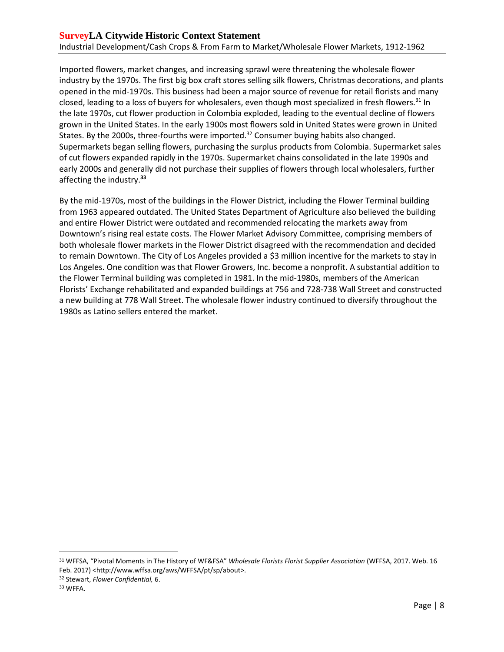Imported flowers, market changes, and increasing sprawl were threatening the wholesale flower industry by the 1970s. The first big box craft stores selling silk flowers, Christmas decorations, and plants opened in the mid-1970s. This business had been a major source of revenue for retail florists and many closed, leading to a loss of buyers for wholesalers, even though most specialized in fresh flowers.<sup>31</sup> In the late 1970s, cut flower production in Colombia exploded, leading to the eventual decline of flowers grown in the United States. In the early 1900s most flowers sold in United States were grown in United States. By the 2000s, three-fourths were imported. $32$  Consumer buying habits also changed. Supermarkets began selling flowers, purchasing the surplus products from Colombia. Supermarket sales of cut flowers expanded rapidly in the 1970s. Supermarket chains consolidated in the late 1990s and early 2000s and generally did not purchase their supplies of flowers through local wholesalers, further affecting the industry. **33**

By the mid-1970s, most of the buildings in the Flower District, including the Flower Terminal building from 1963 appeared outdated. The United States Department of Agriculture also believed the building and entire Flower District were outdated and recommended relocating the markets away from Downtown's rising real estate costs. The Flower Market Advisory Committee, comprising members of both wholesale flower markets in the Flower District disagreed with the recommendation and decided to remain Downtown. The City of Los Angeles provided a \$3 million incentive for the markets to stay in Los Angeles. One condition was that Flower Growers, Inc. become a nonprofit. A substantial addition to the Flower Terminal building was completed in 1981. In the mid-1980s, members of the American Florists' Exchange rehabilitated and expanded buildings at 756 and 728-738 Wall Street and constructed a new building at 778 Wall Street. The wholesale flower industry continued to diversify throughout the 1980s as Latino sellers entered the market.

<sup>31</sup> WFFSA, "Pivotal Moments in The History of WF&FSA" *Wholesale Florists Florist Supplier Association* (WFFSA, 2017. Web. 16 Feb. 2017) <http://www.wffsa.org/aws/WFFSA/pt/sp/about>.

<sup>32</sup> Stewart, *Flower Confidential,* 6.

<sup>33</sup> WFFA.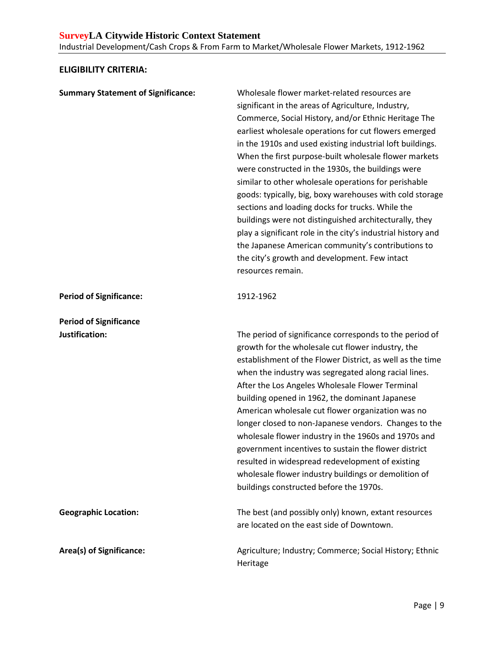## <span id="page-10-0"></span>**ELIGIBILITY CRITERIA:**

| <b>Summary Statement of Significance:</b>       | Wholesale flower market-related resources are<br>significant in the areas of Agriculture, Industry,<br>Commerce, Social History, and/or Ethnic Heritage The<br>earliest wholesale operations for cut flowers emerged<br>in the 1910s and used existing industrial loft buildings.<br>When the first purpose-built wholesale flower markets<br>were constructed in the 1930s, the buildings were<br>similar to other wholesale operations for perishable<br>goods: typically, big, boxy warehouses with cold storage<br>sections and loading docks for trucks. While the<br>buildings were not distinguished architecturally, they<br>play a significant role in the city's industrial history and<br>the Japanese American community's contributions to<br>the city's growth and development. Few intact<br>resources remain. |
|-------------------------------------------------|-------------------------------------------------------------------------------------------------------------------------------------------------------------------------------------------------------------------------------------------------------------------------------------------------------------------------------------------------------------------------------------------------------------------------------------------------------------------------------------------------------------------------------------------------------------------------------------------------------------------------------------------------------------------------------------------------------------------------------------------------------------------------------------------------------------------------------|
| <b>Period of Significance:</b>                  | 1912-1962                                                                                                                                                                                                                                                                                                                                                                                                                                                                                                                                                                                                                                                                                                                                                                                                                     |
| <b>Period of Significance</b><br>Justification: | The period of significance corresponds to the period of<br>growth for the wholesale cut flower industry, the<br>establishment of the Flower District, as well as the time<br>when the industry was segregated along racial lines.<br>After the Los Angeles Wholesale Flower Terminal<br>building opened in 1962, the dominant Japanese<br>American wholesale cut flower organization was no<br>longer closed to non-Japanese vendors. Changes to the<br>wholesale flower industry in the 1960s and 1970s and<br>government incentives to sustain the flower district<br>resulted in widespread redevelopment of existing<br>wholesale flower industry buildings or demolition of<br>buildings constructed before the 1970s.                                                                                                   |
| <b>Geographic Location:</b>                     | The best (and possibly only) known, extant resources<br>are located on the east side of Downtown.                                                                                                                                                                                                                                                                                                                                                                                                                                                                                                                                                                                                                                                                                                                             |
| Area(s) of Significance:                        | Agriculture; Industry; Commerce; Social History; Ethnic<br>Heritage                                                                                                                                                                                                                                                                                                                                                                                                                                                                                                                                                                                                                                                                                                                                                           |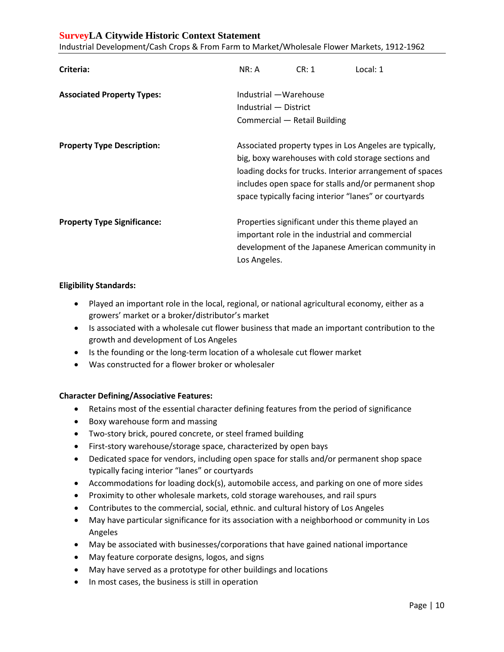### **SurveyLA Citywide Historic Context Statement**

Industrial Development/Cash Crops & From Farm to Market/Wholesale Flower Markets, 1912-1962

| Criteria:                          | NR: A                                                                                                                                                                                                                                                                                       | CR: 1                                           | Local: 1                                                                                               |
|------------------------------------|---------------------------------------------------------------------------------------------------------------------------------------------------------------------------------------------------------------------------------------------------------------------------------------------|-------------------------------------------------|--------------------------------------------------------------------------------------------------------|
| <b>Associated Property Types:</b>  | Industrial - Warehouse<br>Industrial - District<br>Commercial - Retail Building                                                                                                                                                                                                             |                                                 |                                                                                                        |
| <b>Property Type Description:</b>  | Associated property types in Los Angeles are typically,<br>big, boxy warehouses with cold storage sections and<br>loading docks for trucks. Interior arrangement of spaces<br>includes open space for stalls and/or permanent shop<br>space typically facing interior "lanes" or courtyards |                                                 |                                                                                                        |
| <b>Property Type Significance:</b> | Los Angeles.                                                                                                                                                                                                                                                                                | important role in the industrial and commercial | Properties significant under this theme played an<br>development of the Japanese American community in |

#### **Eligibility Standards:**

- Played an important role in the local, regional, or national agricultural economy, either as a growers' market or a broker/distributor's market
- Is associated with a wholesale cut flower business that made an important contribution to the growth and development of Los Angeles
- Is the founding or the long-term location of a wholesale cut flower market
- Was constructed for a flower broker or wholesaler

#### **Character Defining/Associative Features:**

- Retains most of the essential character defining features from the period of significance
- Boxy warehouse form and massing
- Two-story brick, poured concrete, or steel framed building
- First-story warehouse/storage space, characterized by open bays
- Dedicated space for vendors, including open space for stalls and/or permanent shop space typically facing interior "lanes" or courtyards
- Accommodations for loading dock(s), automobile access, and parking on one of more sides
- Proximity to other wholesale markets, cold storage warehouses, and rail spurs
- Contributes to the commercial, social, ethnic. and cultural history of Los Angeles
- May have particular significance for its association with a neighborhood or community in Los Angeles
- May be associated with businesses/corporations that have gained national importance
- May feature corporate designs, logos, and signs
- May have served as a prototype for other buildings and locations
- In most cases, the business is still in operation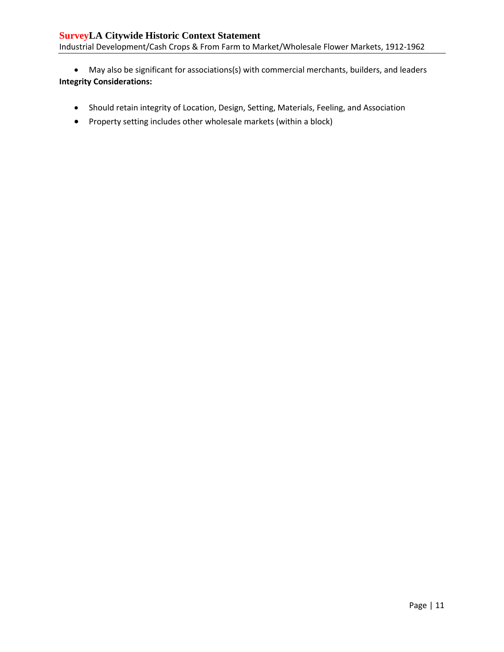May also be significant for associations(s) with commercial merchants, builders, and leaders **Integrity Considerations:**

- Should retain integrity of Location, Design, Setting, Materials, Feeling, and Association
- Property setting includes other wholesale markets (within a block)